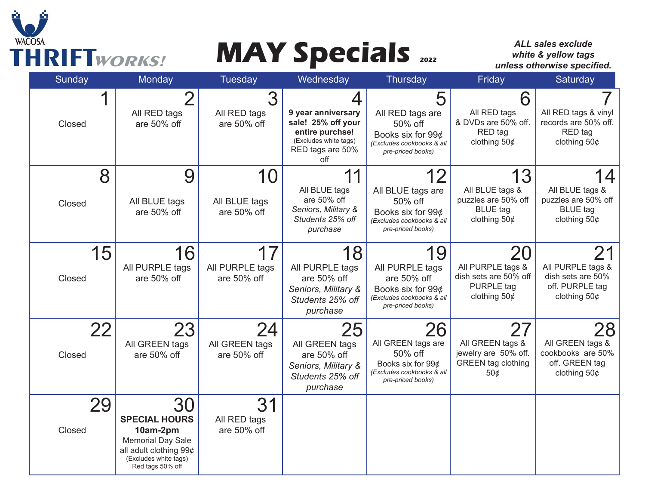

# **THRIFT***WORKS!* **MAY Specials**  $\frac{1}{2022}$

*ALL sales exclude white & yellow tags unless otherwise specified.* 

| <b>Sunday</b> | <b>Monday</b>                                                                                                                             | Tuesday                              | Wednesday                                                                                                            | Thursday                                                                                                    | Friday                                                                                  | Saturday                                                                          |
|---------------|-------------------------------------------------------------------------------------------------------------------------------------------|--------------------------------------|----------------------------------------------------------------------------------------------------------------------|-------------------------------------------------------------------------------------------------------------|-----------------------------------------------------------------------------------------|-----------------------------------------------------------------------------------|
| Closed        | All RED tags<br>are 50% off                                                                                                               | All RED tags<br>are 50% off          | 4<br>9 year anniversary<br>sale! 25% off your<br>entire purchse!<br>(Excludes white tags)<br>RED tags are 50%<br>off | 5<br>All RED tags are<br>50% off<br>Books six for 99¢<br>(Excludes cookbooks & all<br>pre-priced books)     | 6<br>All RED tags<br>& DVDs are 50% off.<br>RED tag<br>clothing $50¢$                   | All RED tags & vinyl<br>records are 50% off.<br>RED tag<br>clothing $50¢$         |
| 8<br>Closed   | 9<br>All BLUE tags<br>are 50% off                                                                                                         | 10<br>All BLUE tags<br>are 50% off   | 11<br>All BLUE tags<br>are 50% off<br>Seniors, Military &<br>Students 25% off<br>purchase                            | 12<br>All BLUE tags are<br>50% off<br>Books six for 99¢<br>(Excludes cookbooks & all<br>pre-priced books)   | 13<br>All BLUE tags &<br>puzzles are 50% off<br><b>BLUE</b> tag<br>clothing $50¢$       | 4<br>All BLUE tags &<br>puzzles are 50% off<br><b>BLUE</b> tag<br>clothing $50¢$  |
| 15<br>Closed  | 16<br>All PURPLE tags<br>are 50% off                                                                                                      | 17<br>All PURPLE tags<br>are 50% off | 18<br>All PURPLE tags<br>are 50% off<br>Seniors, Military &<br>Students 25% off<br>purchase                          | 19<br>All PURPLE tags<br>are 50% off<br>Books six for 99¢<br>(Excludes cookbooks & all<br>pre-priced books) | 20<br>All PURPLE tags &<br>dish sets are 50% off<br><b>PURPLE</b> tag<br>clothing $50¢$ | 21<br>All PURPLE tags &<br>dish sets are 50%<br>off. PURPLE tag<br>clothing $50¢$ |
| 22<br>Closed  | 23<br>All GREEN tags<br>are 50% off                                                                                                       | 24<br>All GREEN tags<br>are 50% off  | 25<br>All GREEN tags<br>are 50% off<br>Seniors, Military &<br>Students 25% off<br>purchase                           | 26<br>All GREEN tags are<br>50% off<br>Books six for 99¢<br>(Excludes cookbooks & all<br>pre-priced books)  | 27<br>All GREEN tags &<br>jewelry are 50% off.<br><b>GREEN</b> tag clothing<br>50¢      | 28<br>All GREEN tags &<br>cookbooks are 50%<br>off. GREEN tag<br>clothing $50¢$   |
| 29<br>Closed  | 30<br><b>SPECIAL HOURS</b><br>10am-2pm<br><b>Memorial Day Sale</b><br>all adult clothing 99¢<br>(Excludes white tags)<br>Red tags 50% off | 31<br>All RED tags<br>are 50% off    |                                                                                                                      |                                                                                                             |                                                                                         |                                                                                   |